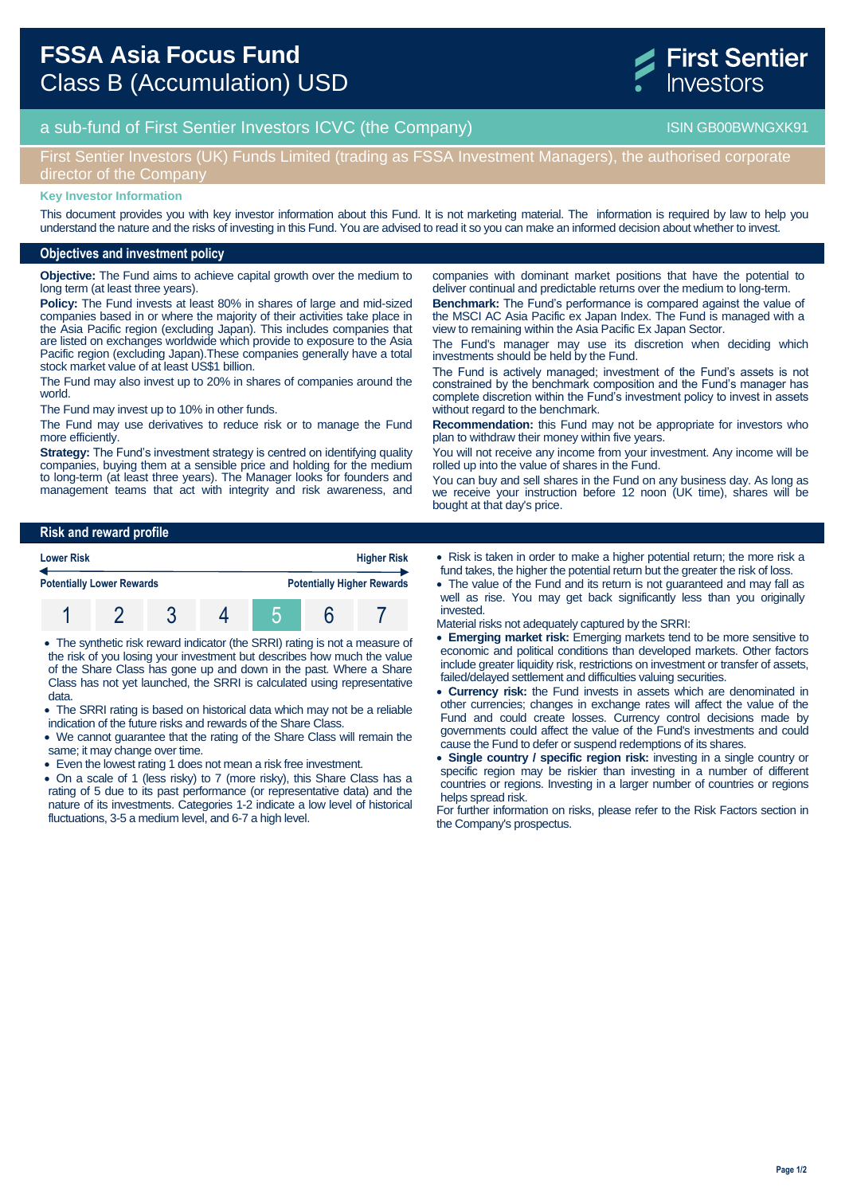

# a sub-fund of First Sentier Investors ICVC (the Company) and the Company ISIN GB00BWNGXK91

## First Sentier Investors (UK) Funds Limited (trading as FSSA Investment Managers), the authorised corporate director of the Company

#### **Key Investor Information**

This document provides you with key investor information about this Fund. It is not marketing material. The information is required by law to help you understand the nature and the risks of investing in this Fund. You are advised to read it so you can make an informed decision about whether to invest.

### **Objectives and investment policy**

**Objective:** The Fund aims to achieve capital growth over the medium to long term (at least three years).

**Policy:** The Fund invests at least 80% in shares of large and mid-sized companies based in or where the majority of their activities take place in the Asia Pacific region (excluding Japan). This includes companies that are listed on exchanges worldwide which provide to exposure to the Asia Pacific region (excluding Japan).These companies generally have a total stock market value of at least US\$1 billion.

The Fund may also invest up to 20% in shares of companies around the world.

The Fund may invest up to 10% in other funds.

The Fund may use derivatives to reduce risk or to manage the Fund more efficiently

**Strategy:** The Fund's investment strategy is centred on identifying quality companies, buying them at a sensible price and holding for the medium to long-term (at least three years). The Manager looks for founders and management teams that act with integrity and risk awareness, and

**Benchmark:** The Fund's performance is compared against the value of the MSCI AC Asia Pacific ex Japan Index. The Fund is managed with a view to remaining within the Asia Pacific Ex Japan Sector. The Fund's manager may use its discretion when deciding which

companies with dominant market positions that have the potential to deliver continual and predictable returns over the medium to long-term.

investments should be held by the Fund. The Fund is actively managed; investment of the Fund's assets is not constrained by the benchmark composition and the Fund's manager has complete discretion within the Fund's investment policy to invest in assets without regard to the benchmark.

**Recommendation:** this Fund may not be appropriate for investors who plan to withdraw their money within five years.

You will not receive any income from your investment. Any income will be rolled up into the value of shares in the Fund.

You can buy and sell shares in the Fund on any business day. As long as we receive your instruction before 12 noon (UK time), shares will be bought at that day's price.

### **Risk and reward profile**



- The synthetic risk reward indicator (the SRRI) rating is not a measure of the risk of you losing your investment but describes how much the value of the Share Class has gone up and down in the past. Where a Share Class has not yet launched, the SRRI is calculated using representative data.
- The SRRI rating is based on historical data which may not be a reliable indication of the future risks and rewards of the Share Class.
- We cannot guarantee that the rating of the Share Class will remain the same; it may change over time.
- Even the lowest rating 1 does not mean a risk free investment.
- On a scale of 1 (less risky) to 7 (more risky), this Share Class has a rating of 5 due to its past performance (or representative data) and the nature of its investments. Categories 1-2 indicate a low level of historical fluctuations, 3-5 a medium level, and 6-7 a high level.
- Risk is taken in order to make a higher potential return; the more risk a fund takes, the higher the potential return but the greater the risk of loss.
- The value of the Fund and its return is not guaranteed and may fall as well as rise. You may get back significantly less than you originally invested.
- Material risks not adequately captured by the SRRI:
- **Emerging market risk:** Emerging markets tend to be more sensitive to economic and political conditions than developed markets. Other factors include greater liquidity risk, restrictions on investment or transfer of assets, failed/delayed settlement and difficulties valuing securities.
- **Currency risk:** the Fund invests in assets which are denominated in other currencies; changes in exchange rates will affect the value of the Fund and could create losses. Currency control decisions made by governments could affect the value of the Fund's investments and could cause the Fund to defer or suspend redemptions of its shares.
- **Single country / specific region risk:** investing in a single country or specific region may be riskier than investing in a number of different countries or regions. Investing in a larger number of countries or regions helps spread risk.

For further information on risks, please refer to the Risk Factors section in the Company's prospectus.